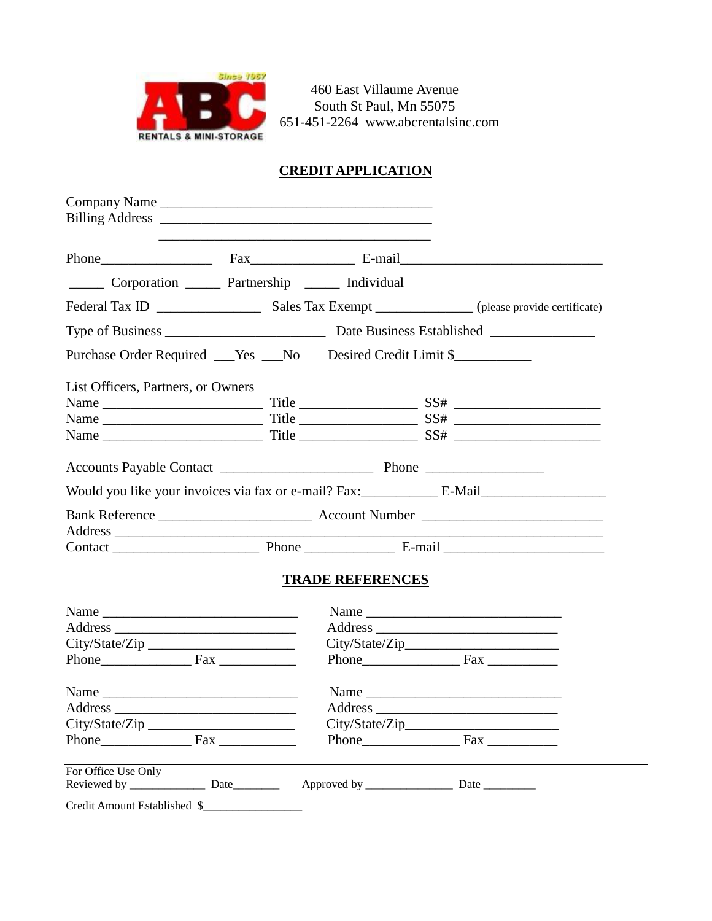

 460 East Villaume Avenue South St Paul, Mn 55075 651-451-2264 [www.abcrentalsinc.com](http://www.abcrentalsinc.com/)

## **CREDIT APPLICATION**

|                                                                           |                                            |  |                         | Phone Fax Fax E-mail |
|---------------------------------------------------------------------------|--------------------------------------------|--|-------------------------|----------------------|
| Corporation ______ Partnership _____ Individual                           |                                            |  |                         |                      |
|                                                                           |                                            |  |                         |                      |
|                                                                           |                                            |  |                         |                      |
| Purchase Order Required ___ Yes ___ No Desired Credit Limit \$___________ |                                            |  |                         |                      |
| List Officers, Partners, or Owners                                        |                                            |  |                         |                      |
|                                                                           |                                            |  |                         |                      |
|                                                                           |                                            |  |                         |                      |
|                                                                           |                                            |  |                         |                      |
|                                                                           |                                            |  |                         |                      |
|                                                                           |                                            |  |                         |                      |
|                                                                           |                                            |  |                         |                      |
|                                                                           |                                            |  |                         |                      |
|                                                                           |                                            |  |                         |                      |
|                                                                           |                                            |  | <b>TRADE REFERENCES</b> |                      |
|                                                                           |                                            |  |                         |                      |
|                                                                           |                                            |  |                         |                      |
| City/State/Zip                                                            |                                            |  |                         |                      |
| Phone $\qquad \qquad$ Fax $\qquad \qquad$                                 |                                            |  |                         |                      |
|                                                                           |                                            |  |                         |                      |
|                                                                           |                                            |  |                         |                      |
| City/State/Zip_                                                           | <u> 1989 - Andrea Albert III, martin a</u> |  | City/State/Zip_         |                      |
| Phone Fax                                                                 |                                            |  |                         |                      |
| For Office Use Only                                                       |                                            |  |                         |                      |
|                                                                           |                                            |  |                         |                      |
| Credit Amount Established \$                                              |                                            |  |                         |                      |